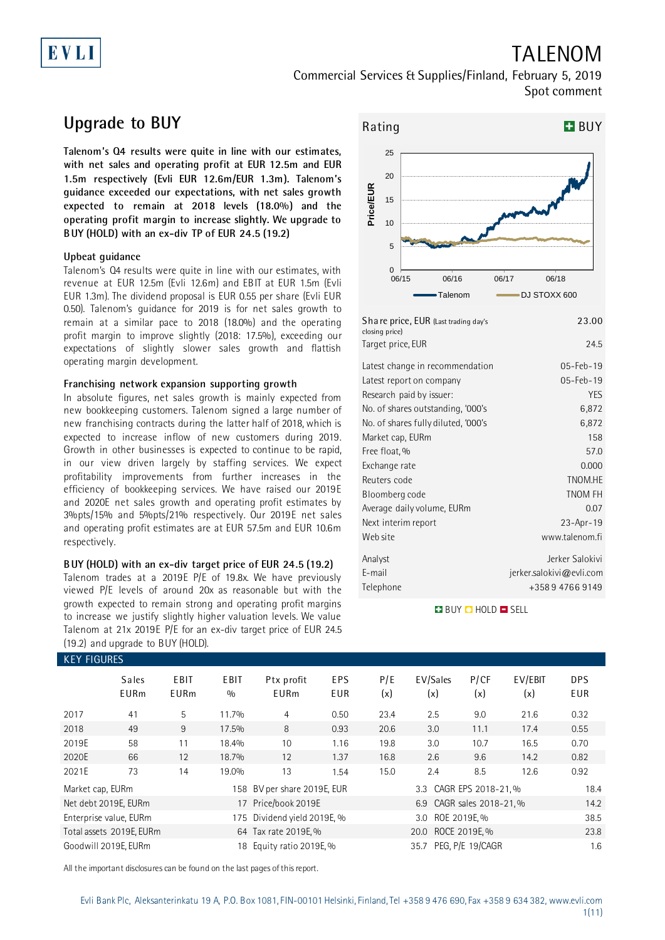# EVLI

## TALENOM

Commercial Services & Supplies/Finland, February 5, 2019 Spot comment

## **Upgrade to BUY**

**Talenom's Q4 results were quite in line with our estimates, with net sales and operating profit at EUR 12.5m and EUR 1.5m respectively (Evli EUR 12.6m/EUR 1.3m). Talenom's guidance exceeded our expectations, with net sales growth expected to remain at 2018 levels (18.0%) and the operating profit margin to increase slightly. We upgrade to BUY (HOLD) with an ex-div TP of EUR 24.5 (19.2)**

### **Upbeat guidance**

Talenom's Q4 results were quite in line with our estimates, with revenue at EUR 12.5m (Evli 12.6m) and EBIT at EUR 1.5m (Evli EUR 1.3m). The dividend proposal is EUR 0.55 per share (Evli EUR 0.50). Talenom's guidance for 2019 is for net sales growth to remain at a similar pace to 2018 (18.0%) and the operating profit margin to improve slightly (2018: 17.5%), exceeding our expectations of slightly slower sales growth and flattish operating margin development.

### **Franchising network expansion supporting growth**

In absolute figures, net sales growth is mainly expected from new bookkeeping customers. Talenom signed a large number of new franchising contracts during the latter half of 2018, which is expected to increase inflow of new customers during 2019. Growth in other businesses is expected to continue to be rapid, in our view driven largely by staffing services. We expect profitability improvements from further increases in the efficiency of bookkeeping services. We have raised our 2019E and 2020E net sales growth and operating profit estimates by 3%pts/15% and 5%pts/21% respectively. Our 2019E net sales and operating profit estimates are at EUR 57.5m and EUR 10.6m respectively.

### **BUY (HOLD) with an ex-div target price of EUR 24.5 (19.2)** Talenom trades at a 2019E P/E of 19.8x. We have previously viewed P/E levels of around 20x as reasonable but with the growth expected to remain strong and operating profit margins to increase we justify slightly higher valuation levels. We value Talenom at 21x 2019E P/E for an ex-div target price of EUR 24.5 (19.2) and upgrade to BUY (HOLD).



| Share price, EUR (Last trading day's<br>closing price) | 23.00                    |
|--------------------------------------------------------|--------------------------|
| Target price, EUR                                      | 24.5                     |
| Latest change in recommendation                        | 05-Feb-19                |
| Latest report on company                               | 05-Feb-19                |
| Research paid by issuer:                               | <b>YES</b>               |
| No. of shares outstanding, '000's                      | 6,872                    |
| No. of shares fully diluted, '000's                    | 6,872                    |
| Market cap, EURm                                       | 158                      |
| Free float, %                                          | 57.0                     |
| Exchange rate                                          | 0.000                    |
| Reuters code                                           | TNOM.HE                  |
| Bloomberg code                                         | <b>TNOM FH</b>           |
| Average daily volume, EURm                             | 0.07                     |
| Next interim report                                    | 23-Apr-19                |
| Web site                                               | www.talenom.fi           |
| Analyst                                                | Jerker Salokivi          |
| E-mail                                                 | jerker.salokivi@evli.com |
| Telephone                                              | +358947669149            |

**BUY Q HOLD O SELL** 

| <b>KEY FIGURES</b> |                             |                     |             |                             |                          |            |                          |                     |                |                   |
|--------------------|-----------------------------|---------------------|-------------|-----------------------------|--------------------------|------------|--------------------------|---------------------|----------------|-------------------|
|                    | <b>Sales</b><br><b>EURm</b> | EBIT<br><b>EURm</b> | EBIT<br>0/0 | Ptx profit<br><b>EURm</b>   | <b>EPS</b><br><b>EUR</b> | P/E<br>(x) | EV/Sales<br>(x)          | P/CF<br>(x)         | EV/EBIT<br>(x) | <b>DPS</b><br>EUR |
| 2017               | 41                          | 5                   | 11.7%       | 4                           | 0.50                     | 23.4       | 2.5                      | 9.0                 | 21.6           | 0.32              |
| 2018               | 49                          | 9                   | 17.5%       | 8                           | 0.93                     | 20.6       | 3.0                      | 11.1                | 17.4           | 0.55              |
| 2019E              | 58                          | 11                  | 18.4%       | 10                          | 1.16                     | 19.8       | 3.0                      | 10.7                | 16.5           | 0.70              |
| 2020E              | 66                          | 12                  | 18.7%       | 12                          | 1.37                     | 16.8       | 2.6                      | 9.6                 | 14.2           | 0.82              |
| 2021E              | 73                          | 14                  | 19.0%       | 13                          | 1.54                     | 15.0       | 2.4                      | 8.5                 | 12.6           | 0.92              |
| Market cap, EURm   |                             |                     |             | 158 BV per share 2019E, EUR |                          |            | 3.3                      | CAGR EPS 2018-21, % |                | 18.4              |
|                    | Net debt 2019E, EURm        |                     |             | 17 Price/book 2019E         |                          |            | 6.9 CAGR sales 2018-21.% |                     |                | 14.2              |
|                    | Enterprise value, EURm      |                     |             | 175 Dividend yield 2019E, % |                          |            | 3.0 ROE 2019E, %         |                     |                | 38.5              |
|                    | Total assets 2019E, EURm    |                     |             | 64 Tax rate 2019E, %        |                          |            | 20.0                     | ROCE 2019E, %       |                | 23.8              |
|                    | Goodwill 2019E, EURm        |                     |             | 18 Equity ratio 2019E, %    |                          |            | 35.7 PEG, P/E 19/CAGR    |                     |                | 1.6               |

All the important disclosures can be found on the last pages of this report.

Evli Bank Plc, Aleksanterinkatu 19 A, P.O. Box 1081, FIN-00101 Helsinki, Finland, Tel +358 9 476 690, Fax +358 9 634 382[, www.evli.com](http://www.evli.com/) 1(11)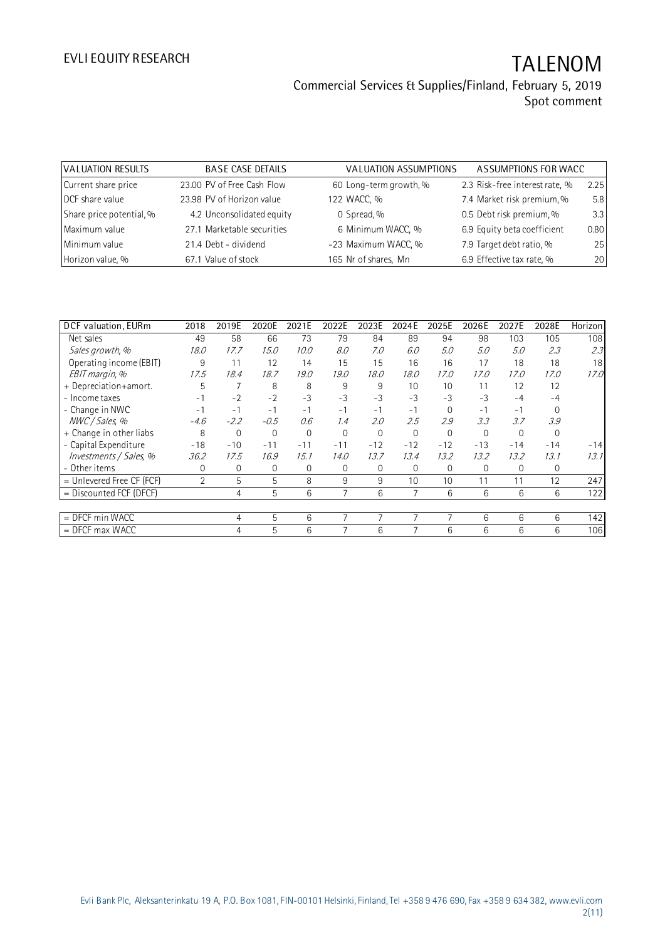| VALUATION RESULTS        | <b>BASE CASE DETAILS</b>   | VALUATION ASSUMPTIONS  | ASSUMPTIONS FOR WACC           |      |
|--------------------------|----------------------------|------------------------|--------------------------------|------|
| Current share price      | 23.00 PV of Free Cash Flow | 60 Long-term growth, % | 2.3 Risk-free interest rate, % | 2.25 |
| DCF share value          | 23.98 PV of Horizon value  | 122 WACC, %            | 7.4 Market risk premium, %     | 5.8  |
| Share price potential, % | 4.2 Unconsolidated equity  | 0 Spread, %            | 0.5 Debt risk premium, %       | 3.3  |
| Maximum value            | 27.1 Marketable securities | 6 Minimum WACC, %      | 6.9 Equity beta coefficient    | 0.80 |
| Minimum value            | 21.4 Debt - dividend       | -23 Maximum WACC, %    | 7.9 Target debt ratio, %       | 25   |
| Horizon value, %         | 67.1 Value of stock        | 165 Nr of shares, Mn   | 6.9 Effective tax rate, %      | 20   |

| DCF valuation, EURm       | 2018           | 2019E        | 2020E  | 2021E | 2022E    | 2023E       | 2024E    | 2025E    | 2026E | 2027E    | 2028E    | Horizon |
|---------------------------|----------------|--------------|--------|-------|----------|-------------|----------|----------|-------|----------|----------|---------|
| Net sales                 | 49             | 58           | 66     | 73    | 79       | 84          | 89       | 94       | 98    | 103      | 105      | 108     |
| Sales growth, %           | 18.0           | 17.7         | 15.0   | 10.0  | 8.0      | 7.0         | 6.0      | 5.0      | 5.0   | 5.0      | 2.3      | 2.3     |
| Operating income (EBIT)   | 9              | 11           | 12     | 14    | 15       | 15          | 16       | 16       | 17    | 18       | 18       | 18      |
| EBIT margin, %            | 17.5           | 18.4         | 18.7   | 19.0  | 19.0     | 18.0        | 18.0     | 17.0     | 17.0  | 17.0     | 17.0     | 17.0    |
| + Depreciation+amort.     | 5              |              | 8      | 8     | 9        | 9           | 10       | 10       | 11    | 12       | 12       |         |
| - Income taxes            | - 1            | $-2$         | $-2$   | $-3$  | $-3$     | -3          | $-3$     | $-3$     | $-3$  | $-4$     | $-4$     |         |
| - Change in NWC           | $-1$           | $-1$         | $-1$   | $-1$  | $-1$     | $-1$        | $-1$     | $\Omega$ | $-1$  | $-1$     | $\Omega$ |         |
| NWC / Sales, %            | $-4.6$         | $-2.2$       | $-0.5$ | 0.6   | 1.4      | 2.0         | 2.5      | 2.9      | 3.3   | 3.7      | 3.9      |         |
| + Change in other liabs   | 8              | 0            | 0      | 0     | $\Omega$ | $\mathbf 0$ | $\Omega$ | $\Omega$ | 0     | $\Omega$ | $\Omega$ |         |
| - Capital Expenditure     | $-18$          | $-10$        | $-11$  | $-11$ | $-11$    | $-12$       | $-12$    | $-12$    | $-13$ | $-14$    | $-14$    | $-14$   |
| Investments / Sales, %    | 36.2           | 17.5         | 16.9   | 15.1  | 14.0     | 13.7        | 13.4     | 13.2     | 13.2  | 13.2     | 13.1     | 13.1    |
| - Other items             | 0              | $\mathbf{0}$ | 0      | 0     | 0        | 0           | 0        | 0        | 0     | 0        | 0        |         |
| = Unlevered Free CF (FCF) | $\overline{2}$ | 5            | 5      | 8     | 9        | 9           | 10       | 10       | 11    | 11       | 12       | 247     |
| $=$ Discounted FCF (DFCF) |                | 4            | 5      | 6     | 7        | 6           |          | 6        | 6     | 6        | 6        | 122     |
|                           |                |              |        |       |          |             |          |          |       |          |          |         |
| $=$ DFCF min WACC         |                | 4            | 5      | 6     | 7        |             |          | 7        | 6     | 6        | 6        | 142     |
| $=$ DFCF max WACC         |                | 4            | 5      | 6     |          | 6           |          | 6        | 6     | 6        | 6        | 106     |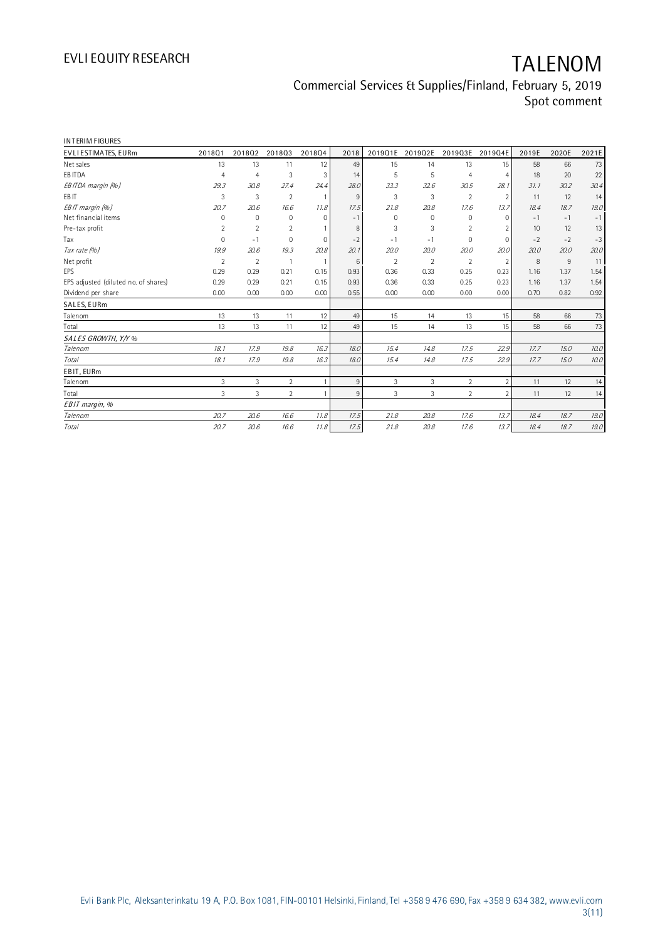| INTERIM FIGURES                      |                |                |                |             |      |                |                |                |                |       |       |       |
|--------------------------------------|----------------|----------------|----------------|-------------|------|----------------|----------------|----------------|----------------|-------|-------|-------|
| EVLI ESTIMATES, EURm                 | 201801         | 201802         | 201803         | 201804      | 2018 | 2019Q1E        | 2019Q2E        | 2019Q3E        | 2019Q4E        | 2019E | 2020E | 2021E |
| Net sales                            | 13             | 13             | 11             | 12          | 49   | 15             | 14             | 13             | 15             | 58    | 66    | 73    |
| EB ITDA                              | $\overline{4}$ | $\overline{4}$ | 3              | 3           | 14   | 5              | 5              | 4              | 4              | 18    | 20    | 22    |
| EBITDA margin (%)                    | 29.3           | 30.8           | 27.4           | 24.4        | 28.0 | 33.3           | 32.6           | 30.5           | 28.1           | 31.1  | 30.2  | 30.4  |
| EB IT                                | 3              | 3              | $\overline{2}$ | -1          | 9    | 3              | 3              | $\overline{2}$ | $\overline{2}$ | 11    | 12    | 14    |
| EBIT margin (%)                      | 20.7           | 20.6           | 16.6           | 11.8        | 17.5 | 21.8           | 20.8           | 17.6           | 13.7           | 18.4  | 18.7  | 19.0  |
| Net financial items                  | $\mathbf 0$    | $\mathbf 0$    | $\mathbf 0$    | $\Omega$    | $-1$ | $\Omega$       | $\mathbf 0$    | $\mathbf 0$    | $\Omega$       | $-1$  | $-1$  | $-1$  |
| Pre-tax profit                       | $\overline{2}$ | $\overline{2}$ | $\overline{2}$ |             | 8    | 3              | 3              | $\overline{2}$ |                | 10    | 12    | 13    |
| Tax                                  | $\mathbf 0$    | $-1$           | 0              | $\mathbf 0$ | $-2$ | $-1$           | $-1$           | 0              | $\mathbf 0$    | $-2$  | $-2$  | $-3$  |
| Tax rate (%)                         | 19.9           | 20.6           | 19.3           | 20.8        | 20.1 | 20.0           | 20.0           | 20.0           | 20.0           | 20.0  | 20.0  | 20.0  |
| Net profit                           | 2              | $\overline{2}$ | $\overline{1}$ | -1          | 6    | $\mathfrak{D}$ | $\mathfrak{D}$ | $\overline{2}$ | $\overline{2}$ | 8     | 9     | 11    |
| <b>EPS</b>                           | 0.29           | 0.29           | 0.21           | 0.15        | 0.93 | 0.36           | 0.33           | 0.25           | 0.23           | 1.16  | 1.37  | 1.54  |
| EPS adjusted (diluted no. of shares) | 0.29           | 0.29           | 0.21           | 0.15        | 0.93 | 0.36           | 0.33           | 0.25           | 0.23           | 1.16  | 1.37  | 1.54  |
| Dividend per share                   | 0.00           | 0.00           | 0.00           | 0.00        | 0.55 | 0.00           | 0.00           | 0.00           | 0.00           | 0.70  | 0.82  | 0.92  |
| SALES, EURm                          |                |                |                |             |      |                |                |                |                |       |       |       |
| Talenom                              | 13             | 13             | 11             | 12          | 49   | 15             | 14             | 13             | 15             | 58    | 66    | 73    |
| Total                                | 13             | 13             | 11             | 12          | 49   | 15             | 14             | 13             | 15             | 58    | 66    | 73    |
| SALES GROWTH, Y/Y %                  |                |                |                |             |      |                |                |                |                |       |       |       |
| Talenom                              | 18.1           | 17.9           | 19.8           | 16.3        | 18.0 | 15.4           | 14.8           | 17.5           | 22.9           | 17.7  | 15.0  | 10.0  |
| <b>Total</b>                         | 18.1           | 17.9           | 19.8           | 16.3        | 18.0 | 15.4           | 14.8           | 17.5           | 22.9           | 17.7  | 15.0  | 10.0  |
| EBIT, EURm                           |                |                |                |             |      |                |                |                |                |       |       |       |
| Talenom                              | 3              | 3              | $\overline{2}$ | 1           | 9    | 3              | 3              | $\overline{2}$ | $\overline{2}$ | 11    | 12    | 14    |
| Total                                | 3              | 3              | $\overline{2}$ | 1           | 9    | 3              | 3              | $\overline{2}$ | $\overline{2}$ | 11    | 12    | 14    |
| EBIT margin, %                       |                |                |                |             |      |                |                |                |                |       |       |       |
| Talenom                              | 20.7           | 20.6           | 16.6           | 11.8        | 17.5 | 21.8           | 20.8           | 17.6           | 13.7           | 18.4  | 18.7  | 19.0  |
| <b>Total</b>                         | 20.7           | 20.6           | 16.6           | 11.8        | 17.5 | 21.8           | 20.8           | 17.6           | 13.7           | 18.4  | 18.7  | 19.0  |
|                                      |                |                |                |             |      |                |                |                |                |       |       |       |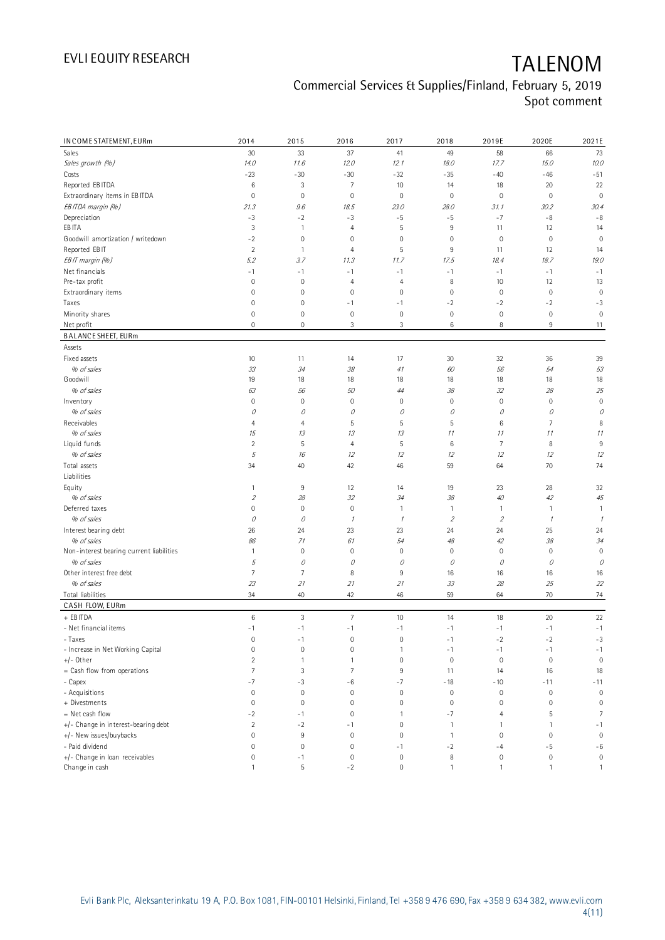| IN COME STATEMENT, EURm                  | 2014                | 2015           | 2016                | 2017           | 2018           | 2019E          | 2020E          | 2021E              |
|------------------------------------------|---------------------|----------------|---------------------|----------------|----------------|----------------|----------------|--------------------|
| Sales                                    | 30                  | 33             | 37                  | 41             | 49             | 58             | 66             | 73                 |
| Sales growth (%)                         | 14.0                | 11.6           | 12.0                | 12.1           | 18.0           | 17.7           | 15.0           | 10.0               |
| Costs                                    | $-23$               | $-30$          | $-30$               | $-32$          | $-35$          | $-40$          | $-46$          | $-51$              |
| Reported EB ITDA                         | 6                   | 3              | $\overline{7}$      | 10             | 14             | 18             | 20             | 22                 |
| Extraordinary items in EBITDA            | $\mathbb O$         | $\mathbf 0$    | $\mathbb O$         | $\mathbb O$    | $\mathbf 0$    | 0              | $\mathbb O$    | $\mathbf 0$        |
| EBITDA margin (%)                        | 21.3                | 9.6            | 18.5                | 23.0           | 28.0           | 31.1           | 30.2           | 30.4               |
| Depreciation                             | $-3$                | $-2$           | $-3$                | $-5$           | $-5$           | $-7$           | -8             | $-8$               |
| EB ITA                                   | 3                   | $\mathbf{1}$   | $\overline{4}$      | 5              | $\,9$          | 11             | 12             | 14                 |
| Goodwill amortization / writedown        | $-2$                | $\mathbf 0$    | $\mathbf 0$         | $\mathbf 0$    | $\mathbf 0$    | $\,0\,$        | $\mathbb O$    | $\mathbf 0$        |
| Reported EBIT                            | $\overline{2}$      | $\mathbf{1}$   | $\overline{4}$      | 5              | $\,9$          | 11             | 12             | 14                 |
| EBIT margin (%)                          | 5.2                 | 3.7            | 11.3                | 11.7           | 17.5           | 18.4           | 18.7           | 19.0               |
| Net financials                           | $-1$                | $-1$           | $-1$                | $-1$           | $-1$           | $-1$           | $-1$           | $-1$               |
| Pre-tax profit                           | $\mathsf 0$         | $\mathbf 0$    | $\overline{4}$      | $\overline{4}$ | 8              | 10             | 12             | 13                 |
| Extraordinary items                      | 0                   | $\mathbf 0$    | $\mathbf 0$         | $\mathbf 0$    | $\mathbf 0$    | $\mathbf 0$    | $\mathbf 0$    | $\mathbf 0$        |
| Taxes                                    | 0                   | $\mathbf 0$    | $-1$                | $-1$           | $-2$           | $-2$           | $-2$           | $-3$               |
| Minority shares                          | 0                   | $\mathbf 0$    | $\mathbf 0$         | $\mathbf 0$    | $\mathbf 0$    | $\,0\,$        | $\mathbf 0$    | $\mathbf 0$        |
| Net profit                               | 0                   | $\mathbf 0$    | 3                   | 3              | 6              | 8              | $9\,$          | 11                 |
| <b>BALANCE SHEET, EURm</b>               |                     |                |                     |                |                |                |                |                    |
| Assets                                   |                     |                |                     |                |                |                |                |                    |
| Fixed assets                             | 10                  | 11             | 14                  | 17             | 30             | 32             | 36             | 39                 |
| % of sales                               | 33                  | 34             | 38                  | 41             | 60             | 56             | 54             | 53                 |
| Goodwill                                 | 19                  | 18             | 18                  | 18             | 18             | 18             | 18             | 18                 |
| % of sales                               | 63                  | 56             | 50                  | 44             | 38             | 32             | 28             | 25                 |
| Inventory                                | $\mathbb O$         | $\mathbf 0$    | $\mathbf 0$         | $\mathbf 0$    | $\mathbf 0$    | $\mathbf 0$    | $\mathbf 0$    | $\mathbf 0$        |
| % of sales                               | 0                   | 0              | 0                   | 0              | 0              | 0              | 0              | 0                  |
| Receivables                              | $\overline{4}$      | $\overline{4}$ | 5                   | 5              | 5              | $\,6$          | $\overline{7}$ | 8                  |
| % of sales                               | 15                  | 13             | 13                  | 13             | 11             | 11             | 11             | 11                 |
| Liquid funds                             | $\overline{2}$      | 5              | $\overline{4}$      | 5              | $\,6$          | $\overline{7}$ | 8              | $\,9$              |
| % of sales                               | 5                   | 16             | 12                  | 12             | 12             | 12             | 12             | 12                 |
| Total assets                             | 34                  | 40             | 42                  | 46             | 59             | 64             | 70             | 74                 |
| Liabilities                              |                     |                |                     |                |                |                |                |                    |
| Equity                                   | $\mathbf{1}$        | 9              | 12                  | 14             | 19             | 23             | 28             | 32                 |
| % of sales                               | $\sqrt{2}$          | 28             | 32                  | 34             | 38             | $40\,$         | 42             | 45                 |
| Deferred taxes                           | 0                   | $\mathbf 0$    | $\mathbf 0$         | $\mathbf{1}$   | $\mathbf{1}$   | $\mathbf{1}$   | $\mathbf{1}$   | 1                  |
| % of sales                               | 0                   | 0              | $\mathcal I$        | $\mathcal I$   | $\overline{2}$ | $\overline{2}$ | $\mathcal I$   | $\overline{\iota}$ |
| Interest bearing debt                    | 26                  | 24             | 23                  | 23             | 24             | 24             | 25             | 24                 |
| % of sales                               | 86                  | 71             | 61                  | 54             | 48             | 42             | 38             | 34                 |
| Non-interest bearing current liabilities | $\mathbf{1}$        | $\mathbf 0$    | $\mathbf 0$         | $\mathbf 0$    | $\mathbf 0$    | 0              | $\mathbf 0$    | $\mathbf 0$        |
| % of sales                               | 5                   | 0              | 0                   | 0              | 0              | 0              | 0              | 0                  |
| Other interest free debt                 | 7                   | $\overline{7}$ | 8                   | 9              | 16             | 16             | 16             | 16                 |
| % of sales                               | 23                  | 21             | 21                  | 21             | 33             | 28             | 25             | 22                 |
| Total liabilities                        | 34                  | 40             | 42                  | 46             | 59             | 64             | 70             | 74                 |
| CASH FLOW, EURm                          |                     |                |                     |                |                |                |                |                    |
| + EB ITDA                                | 6                   | $\sqrt{3}$     | $\overline{7}$      | 10             | 14             | 18             | 20             | 22                 |
| - Net financial items                    | $-1$                | $-1$           | $-1$                | $-1$           | $-1$           | $-1$           | $-1$           | $-1$               |
| - Taxes                                  | 0                   | $-1$           | $\mathsf{O}\xspace$ | $\mathbf 0$    | $-1$           | $-2$           | $-2$           | $-3$               |
| - Increase in Net Working Capital        | $\mathsf{O}\xspace$ | $\mathbf 0$    | $\mathsf{O}\xspace$ | $\mathbf{1}$   | $-1$           | $-1$           | $-1$           | $-1$               |
| $+/-$ Other                              | $\overline{c}$      | $\mathbf{1}$   | $\mathbf{1}$        | $\mathbf 0$    | $\mathbf 0$    | $\mathbf 0$    | $\mathbf 0$    | $\mathbf 0$        |
| $=$ Cash flow from operations            | $\overline{7}$      | 3              | $7\overline{ }$     | 9              | 11             | 14             | 16             | 18                 |
| - Capex                                  | $-7$                | $-3$           | -6                  | $-7$           | $-18$          | $-10$          | $-11$          | $-11$              |
| - Acquisitions                           | 0                   | $\mathbf 0$    | $\mathbf 0$         | $\mathbb O$    | $\,0\,$        | $\,0\,$        | $\mathbf 0$    | $\mathbf 0$        |
| + Divestments                            | $\mathbf{0}$        | $\mathbf 0$    | $\mathbf 0$         | $\mathbf 0$    | $\mathbf 0$    | $\mathbf 0$    | $\mathbf 0$    | $\mathbf 0$        |
| $=$ Net cash flow                        | $-2$                | $-1$           | $\mathsf{O}\xspace$ | $\mathbf{1}$   | $-7$           | $\overline{4}$ | 5              | $\overline{7}$     |
| +/- Change in interest-bearing debt      | $\overline{2}$      | $-2$           | $-1$                | $\mathbf 0$    | $\mathbf{1}$   | $\mathbf{1}$   | $\overline{1}$ | $-1$               |
| +/- New issues/buybacks                  | 0                   | $\,9$          | $\mathbf 0$         | $\mathbf 0$    | $\overline{1}$ | $\mathbf 0$    | $\mathbf 0$    | $\mathbf 0$        |
| - Paid dividend                          | $\mathsf 0$         | $\mathbf 0$    | $\mathbb O$         | $-1$           | $-2$           | $-4$           | $-5$           | $-6$               |
| +/- Change in loan receivables           | 0                   | -1             | $\mathbf 0$         | $\mathbf 0$    | $^{\rm 8}$     | $\mathbb O$    | $\mathbb O$    | $\mathbf 0$        |
| Change in cash                           | $\mathbf{1}$        | $\mathsf S$    | $-2$                | $\mathbf 0$    | $\mathbf{1}$   | $\mathbf{1}$   | $\mathbf{1}$   | $\mathbf{1}$       |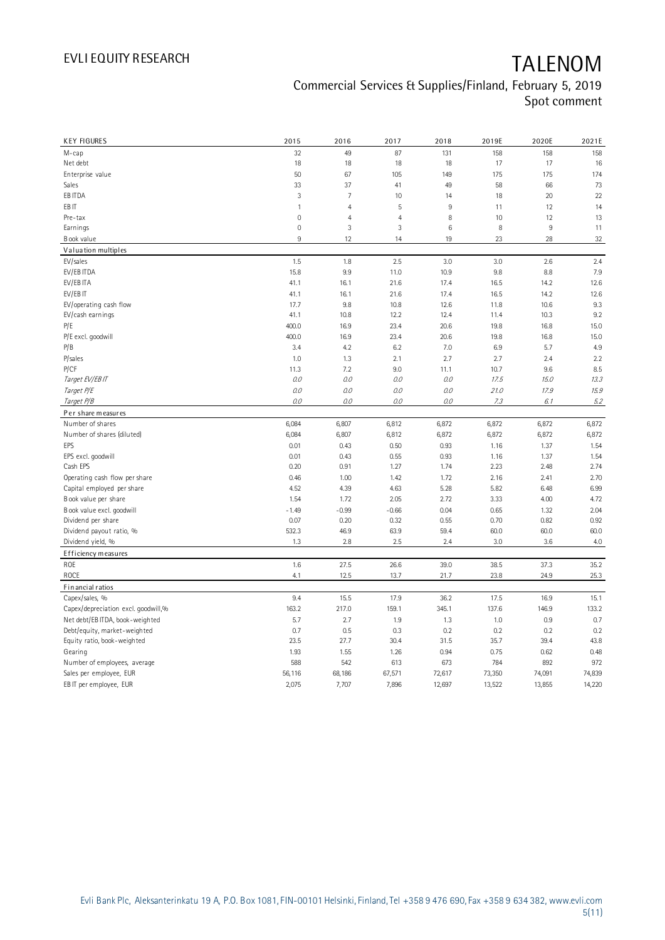| <b>KEY FIGURES</b>                              | 2015            | 2016           | 2017            | 2018   | 2019E        | 2020E        | 2021E  |
|-------------------------------------------------|-----------------|----------------|-----------------|--------|--------------|--------------|--------|
| M-cap                                           | 32              | 49             | 87              | 131    | 158          | 158          | 158    |
| Net debt                                        | 18              | 18             | 18              | 18     | 17           | 17           | 16     |
| Enterprise value                                | 50              | 67             | 105             | 149    | 175          | 175          | 174    |
| Sales                                           | 33              | 37             | 41              | 49     | 58           | 66           | 73     |
| EB ITDA                                         | $\sqrt{3}$      | $\overline{7}$ | 10              | 14     | 18           | 20           | 22     |
| EB IT                                           | $\overline{1}$  | $\overline{4}$ | 5               | $\,9$  | 11           | 12           | 14     |
| Pre-tax                                         | $\mathbf 0$     | $\overline{4}$ | $\overline{4}$  | 8      | 10           | 12           | 13     |
| Earnings                                        | $\mathbf 0$     | 3              | 3               | $\,6$  | 8            | $9\,$        | 11     |
| Book value                                      | $9\,$           | 12             | 14              | 19     | 23           | 28           | 32     |
| Valuation multiples                             |                 |                |                 |        |              |              |        |
| EV/sales                                        | 1.5             | 1.8            | 2.5             | 3.0    | 3.0          | 2.6          | 2.4    |
| EV/EB ITDA                                      | 15.8            | 9.9            | 11.0            | 10.9   | 9.8          | 8.8          | 7.9    |
| EV/EB ITA                                       | 41.1            | 16.1           | 21.6            | 17.4   | 16.5         | 14.2         | 12.6   |
| EV/EB IT                                        | 41.1            | 16.1           | 21.6            | 17.4   | 16.5         | 14.2         | 12.6   |
| EV/operating cash flow                          | 17.7            | 9.8            | 10.8            | 12.6   | 11.8         | 10.6         | 9.3    |
| EV/cash earnings                                | 41.1            | 10.8           | 12.2            | 12.4   | 11.4         | 10.3         | 9.2    |
| P/E                                             | 400.0           | 16.9           | 23.4            | 20.6   | 19.8         | 16.8         | 15.0   |
| P/E excl. goodwill                              | 400.0           | 16.9           | 23.4            | 20.6   | 19.8         | 16.8         | 15.0   |
| P/B                                             | 3.4             | 4.2            | 6.2             | 7.0    | 6.9          | 5.7          | 4.9    |
| P/sales                                         | 1.0             | 1.3            | 2.1             | 2.7    | 2.7          | 2.4          | 2.2    |
| <b>P/CF</b>                                     | 11.3            | 7.2            | 9.0             | 11.1   | 10.7         | 9.6          | 8.5    |
| Target EV/EBIT                                  | 0.0             | 0.0            | 0.0             | 0.0    | 17.5         | 15.0         | 13.3   |
| Target P/E                                      | 0.0             | 0.0            | 0.0             | 0.0    | 21.0         | 17.9         | 15.9   |
| Target P/B                                      | 0.0             | 0.0            | 0.0             | 0.0    | 7.3          | 6.1          | 5.2    |
| Per share measures                              |                 |                |                 |        |              |              |        |
| Number of shares                                | 6,084           | 6,807          | 6,812           | 6,872  | 6,872        | 6,872        | 6,872  |
| Number of shares (diluted)                      | 6,084           | 6,807          | 6,812           | 6,872  | 6,872        | 6,872        | 6,872  |
| EPS                                             | 0.01            | 0.43           | 0.50            | 0.93   | 1.16         | 1.37         | 1.54   |
|                                                 | 0.01            | 0.43           | 0.55            | 0.93   | 1.16         | 1.37         | 1.54   |
| EPS excl. goodwill<br>Cash EPS                  | 0.20            | 0.91           | 1.27            | 1.74   | 2.23         | 2.48         | 2.74   |
| Operating cash flow per share                   | 0.46            | 1.00           | 1.42            | 1.72   | 2.16         | 2.41         | 2.70   |
| Capital employed per share                      | 4.52            | 4.39           | 4.63            | 5.28   | 5.82         | 6.48         | 6.99   |
| Book value per share                            | 1.54            | 1.72           | 2.05            | 2.72   | 3.33         | 4.00         | 4.72   |
|                                                 |                 | $-0.99$        |                 | 0.04   |              |              | 2.04   |
| Book value excl. goodwill<br>Dividend per share | $-1.49$<br>0.07 | 0.20           | $-0.66$<br>0.32 | 0.55   | 0.65<br>0.70 | 1.32<br>0.82 | 0.92   |
|                                                 | 532.3           | 46.9           | 63.9            | 59.4   | 60.0         | 60.0         | 60.0   |
| Dividend payout ratio, %<br>Dividend yield, %   | 1.3             | 2.8            | 2.5             | 2.4    | 3.0          | 3.6          | 4.0    |
|                                                 |                 |                |                 |        |              |              |        |
| Efficiency measures                             | 1.6             |                |                 |        |              | 37.3         |        |
| ROE                                             |                 | 27.5           | 26.6            | 39.0   | 38.5         |              | 35.2   |
| ROCE                                            | 4.1             | 12.5           | 13.7            | 21.7   | 23.8         | 24.9         | 25.3   |
| Fin ancial ratios                               |                 |                |                 |        |              |              |        |
| Capex/sales, %                                  | 9.4             | 15.5           | 17.9            | 36.2   | 17.5         | 16.9         | 15.1   |
| Capex/depreciation excl. goodwill,%             | 163.2           | 217.0          | 159.1           | 345.1  | 137.6        | 146.9        | 133.2  |
| Net debt/EB ITDA, book-weighted                 | 5.7             | 2.7            | 1.9             | 1.3    | 1.0          | 0.9          | 0.7    |
| Debt/equity, market-weighted                    | 0.7             | 0.5            | 0.3             | 0.2    | 0.2          | 0.2          | 0.2    |
| Equity ratio, book-weighted                     | 23.5            | 27.7           | 30.4            | 31.5   | 35.7         | 39.4         | 43.8   |
| Gearing                                         | 1.93            | 1.55           | 1.26            | 0.94   | 0.75         | 0.62         | 0.48   |
| Number of employees, average                    | 588             | 542            | 613             | 673    | 784          | 892          | 972    |
| Sales per employee, EUR                         | 56,116          | 68,186         | 67,571          | 72,617 | 73,350       | 74,091       | 74,839 |
| EB IT per employee, EUR                         | 2,075           | 7,707          | 7,896           | 12,697 | 13,522       | 13,855       | 14,220 |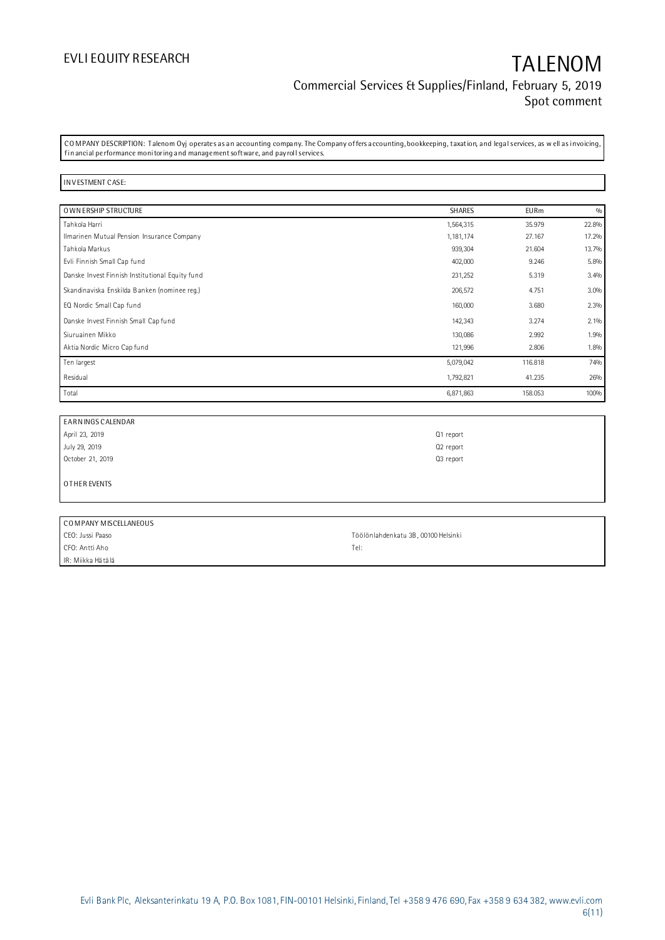## EVLI EQUITY RESEARCH TALENOM Commercial Services & Supplies/Finland, February 5, 2019 Spot comment

CO MPANY DESCRIPTION: T alenom Oyj operates as an accounting company. The Company offers accounting, bookkeeping, taxation, and legal services, as w ell as invoicing, fin ancial performance monitoring and management software, and payroll services.

### IN V ESTMENT CASE:

| O WN ERSHIP STRUCTURE                           | SHARES    | <b>EURm</b> | 0/0   |
|-------------------------------------------------|-----------|-------------|-------|
| Tahkola Harri                                   | 1,564,315 | 35.979      | 22.8% |
| Ilmarinen Mutual Pension Insurance Company      | 1,181,174 | 27.167      | 17.2% |
| Tahkola Markus                                  | 939,304   | 21.604      | 13.7% |
| Evli Finnish Small Cap fund                     | 402,000   | 9.246       | 5.8%  |
| Danske Invest Finnish Institutional Equity fund | 231,252   | 5.319       | 3.4%  |
| Skandinaviska Enskilda Banken (nominee reg.)    | 206,572   | 4.751       | 3.0%  |
| EQ Nordic Small Cap fund                        | 160,000   | 3.680       | 2.3%  |
| Danske Invest Finnish Small Cap fund            | 142,343   | 3.274       | 2.1%  |
| Siuruainen Mikko                                | 130,086   | 2.992       | 1.9%  |
| Aktia Nordic Micro Cap fund                     | 121,996   | 2.806       | 1.8%  |
| Ten largest                                     | 5,079,042 | 116.818     | 74%   |
| Residual                                        | 1,792,821 | 41.235      | 26%   |
| Total                                           | 6,871,863 | 158.053     | 100%  |

| EARNINGS CALENDAR     |           |
|-----------------------|-----------|
| April 23, 2019        | Q1 report |
| July 29, 2019         | Q2 report |
| October 21, 2019      | Q3 report |
| OTHER EVENTS          |           |
|                       |           |
| COMPANY MISCELLANEOUS |           |

| l COMPANY MISCELLANEOUS |                                     |
|-------------------------|-------------------------------------|
| CEO: Jussi Paaso        | Töölönlahdenkatu 3B, 00100 Helsinki |
| l CFO: Antti Aho        | Tel:                                |
| l IR: Miikka Hätälä     |                                     |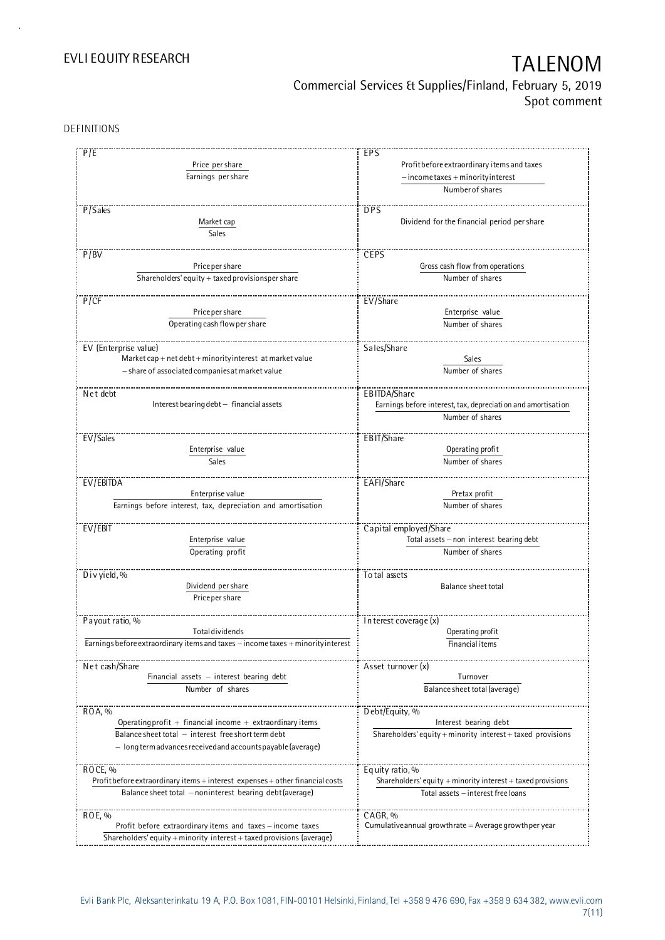Commercial Services & Supplies/Finland, February 5, 2019 Spot comment

DEFINITIONS

| P/E                                                                              | EPS                                                             |
|----------------------------------------------------------------------------------|-----------------------------------------------------------------|
| Price per share                                                                  | Profit before extraordinary items and taxes                     |
| Earnings per share                                                               |                                                                 |
|                                                                                  | $-$ income taxes $+$ minority interest                          |
|                                                                                  | Number of shares                                                |
|                                                                                  | <b>DPS</b>                                                      |
| P/Sales                                                                          |                                                                 |
| Market cap                                                                       | Dividend for the financial period per share                     |
| Sales                                                                            |                                                                 |
|                                                                                  |                                                                 |
| P/BV                                                                             | CEPS                                                            |
| Price per share                                                                  | Gross cash flow from operations                                 |
| Shareholders' equity $+$ taxed provisionsper share                               | Number of shares                                                |
|                                                                                  |                                                                 |
| P/CF                                                                             | EV/Share                                                        |
| Priceper share                                                                   | Enterprise value                                                |
| Operating cash flow per share                                                    | Number of shares                                                |
|                                                                                  |                                                                 |
|                                                                                  |                                                                 |
| EV (Enterprise value)                                                            | Sales/Share                                                     |
| Market cap + net debt + minority interest at market value                        | Sales                                                           |
| - share of associated companies at market value                                  | Number of shares                                                |
|                                                                                  |                                                                 |
| Net debt                                                                         | EBITDA/Share                                                    |
| Interest bearing debt - financial assets                                         | Earnings before interest, tax, depreciation and amortisation    |
|                                                                                  | Number of shares                                                |
|                                                                                  |                                                                 |
| EV/Sales                                                                         | EBIT/Share                                                      |
| Enterprise value                                                                 | Operating profit                                                |
| Sales                                                                            | Number of shares                                                |
|                                                                                  |                                                                 |
| EV/EBITDA                                                                        | EAFI/Share                                                      |
| Enterprise value                                                                 | Pretax profit                                                   |
| Earnings before interest, tax, depreciation and amortisation                     | Number of shares                                                |
|                                                                                  |                                                                 |
|                                                                                  |                                                                 |
| EV/EBIT                                                                          | Capital employed/Share                                          |
| Enterprise value                                                                 | Total assets - non interest bearing debt                        |
| Operating profit                                                                 | Number of shares                                                |
|                                                                                  |                                                                 |
| Divyield, $%$                                                                    | To tal assets                                                   |
| Dividend per share                                                               | Balance sheet total                                             |
| Price per share                                                                  |                                                                 |
|                                                                                  |                                                                 |
| Payout ratio, %                                                                  | In terest coverage (x)                                          |
| <b>Total dividends</b>                                                           | Operating profit                                                |
| Earnings before extraordinary items and taxes - income taxes + minority interest | Financial items                                                 |
|                                                                                  |                                                                 |
|                                                                                  |                                                                 |
| Net cash/Share                                                                   | Asset turnover (x)                                              |
| Financial assets $-$ interest bearing debt                                       | Turnover                                                        |
| Number of shares                                                                 | Balance sheet total (average)                                   |
|                                                                                  |                                                                 |
| ROA, %                                                                           | Debt/Equity, %                                                  |
| Operating profit + financial income + extraordinary items                        | Interest bearing debt                                           |
| Balance sheet total - interest free short term debt                              | Shareholders' equity $+$ minority interest $+$ taxed provisions |
| - long term advances received and accounts payable (average)                     |                                                                 |
|                                                                                  |                                                                 |
| ROCE, %                                                                          | Equity ratio, %                                                 |
| Profit before extraordinary items + interest expenses + other financial costs    | Shareholders' equity $+$ minority interest $+$ taxed provisions |
|                                                                                  |                                                                 |
| Balance sheet total - noninterest bearing debt (average)                         | Total assets - interest free loans                              |
|                                                                                  |                                                                 |
| ROE, %                                                                           | CAGR, %                                                         |
| Profit before extraordinary items and taxes - income taxes                       | Cumulative annual growthrate $=$ Average growthper year         |
| Shareholders' equity + minority interest + taxed provisions (average)            |                                                                 |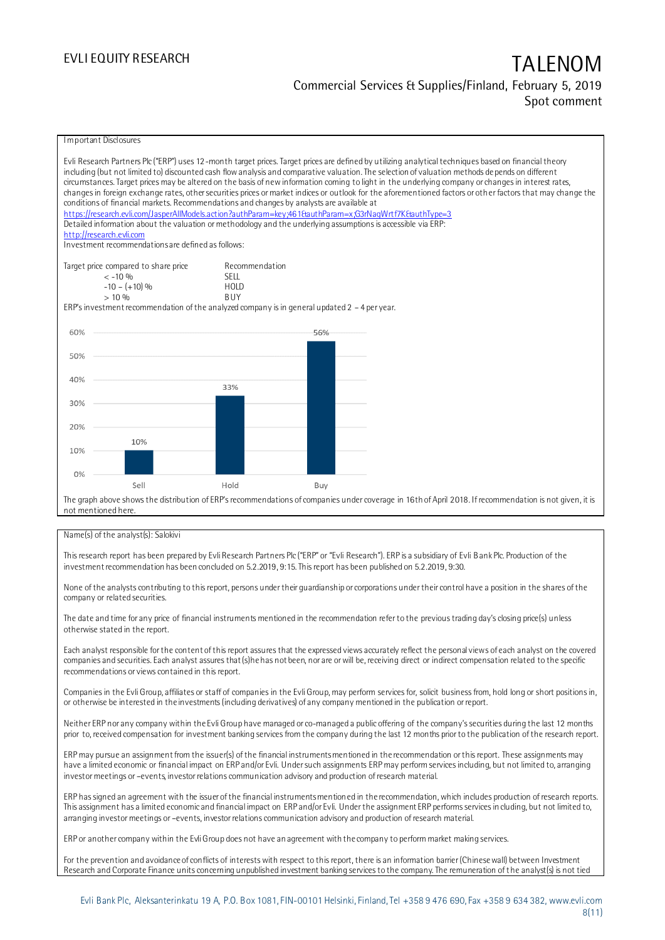## EVLI EQUITY RESEARCH TALENOM Commercial Services & Supplies/Finland, February 5, 2019 Spot comment



### Name(s) of the analyst(s): Salokivi

This research report has been prepared by Evli Research Partners Plc ("ERP" or "Evli Research"). ERP is a subsidiary of Evli Bank Plc. Production of the investment recommendation has been concluded on 5.2.2019, 9:15.This report has been published on 5.2.2019, 9:30.

None of the analysts contributing to this report, persons under their guardianship or corporations under their control have a position in the shares of the company or related securities.

The date and time for any price of financial instruments mentioned in the recommendation refer to the previous trading day's closing price(s) unless otherwise stated in the report.

Each analyst responsible for the content of this report assures that the expressed views accurately reflect the personal views of each analyst on the covered companies and securities. Each analyst assures that (s)he has not been, nor are or will be, receiving direct or indirect compensation related to the specific recommendations or views contained in this report.

Companies in the Evli Group, affiliates or staff of companies in the Evli Group, may perform services for, solicit business from, hold long or short positions in, or otherwise be interested in the investments (including derivatives) of any company mentioned in the publication or report.

Neither ERP nor any company within the Evli Group have managed or co-managed a public offering of the company's securities during the last 12 months prior to, received compensation for investment banking services from the company during the last 12 months prior to the publication of the research report.

ERP may pursue an assignment from the issuer(s) of the financial instruments mentioned in the recommendation or this report. These assignments may have a limited economic or financial impact on ERP and/or Evli. Under such assignments ERP may perform services including, but not limited to, arranging investor meetings or –events, investor relations communication advisory and production of research material.

ERP has signed an agreement with the issuer of the financial instruments mentioned in the recommendation, which includes production of research reports. This assignment has a limited economic and financial impact on ERP and/or Evli. Under the assignment ERP performs services in cluding, but not limited to, arranging investor meetings or –events, investor relations communication advisory and production of research material.

ERP or another company within the Evli Group does not have an agreement with the company to perform market making services.

For the prevention and avoidance of conflicts of interests with respect to this report, there is an information barrier (Chinese wall) between Investment Research and Corporate Finance units concerning unpublished investment banking services to the company. The remuneration of the analyst(s) is not tied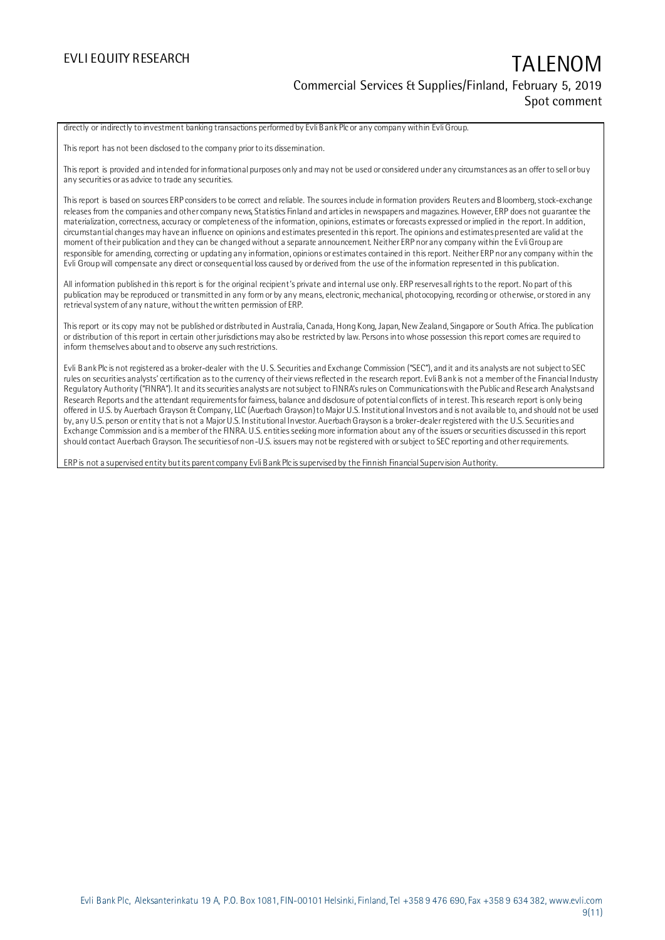## EVLI EQUITY RESEARCH TALENOM Commercial Services & Supplies/Finland, February 5, 2019 Spot comment

directly or indirectly to investment banking transactions performed by Evli Bank Plc or any company within Evli Group.

This report has not been disclosed to the company prior to its dissemination.

This report is provided and intended for informational purposes only and may not be used or considered under any circumstances as an offer to sell or buy any securities or as advice to trade any securities.

This report is based on sources ERP considers to be correct and reliable. The sources include information providers Reuters and Bloomberg, stock-exchange releases from the companies and other company news, Statistics Finland and articles in newspapers and magazines. However, ERP does not guarantee the materialization, correctness, accuracy or completeness of the information, opinions, estimates or forecasts expressed or implied in the report. In addition, circumstantial changes may have an influence on opinions and estimates presented in this report. The opinions and estimates presented are valid at the moment of their publication and they can be changed without a separate announcement. Neither ERP nor any company within the Evli Group are responsible for amending, correcting or updating any information, opinions or estimates contained in this report. Neither ERP nor any company within the Evli Group will compensate any direct or consequential loss caused by or derived from the use of the information represented in this publication.

All information published in this report is for the original recipient's private and internal use only. ERP reserves all rights to the report. No part of this publication may be reproduced or transmitted in any form or by any means, electronic, mechanical, photocopying, recording or otherwise, or stored in any retrieval system of any nature, without the written permission of ERP.

This report or its copy may not be published or distributed in Australia, Canada, Hong Kong, Japan, New Zealand, Singapore or South Africa. The publication or distribution of this report in certain other jurisdictions may also be restricted by law. Persons into whose possession this report comes are required to inform themselves about and to observe any such restrictions.

Evli Bank Plc is not registered as a broker-dealer with the U. S. Securities and Exchange Commission ("SEC"), and it and its analysts are not subject to SEC rules on securities analysts' certification as to the currency of their views reflected in the research report. Evli Bank is not a member of the Financial Industry Regulatory Authority ("FINRA"). It and its securities analysts are not subject to FINRA's rules on Communications with the Public and Rese arch Analysts and Research Reports and the attendant requirements for fairness, balance and disclosure of potential conflicts of interest. This research report is only being offered in U.S. by Auerbach Grayson & Company, LLC (Auerbach Grayson) to Major U.S. Institutional Investors and is not available to, and should not be used by, any U.S. person or entity that is not a Major U.S. Institutional Investor. Auerbach Grayson is a broker-dealer registered with the U.S. Securities and Exchange Commission and is a member of the FINRA. U.S. entities seeking more information about any of the issuers or securities discussed in this report should contact Auerbach Grayson. The securities of non-U.S. issuers may not be registered with or subject to SEC reporting and other requirements.

ERP is not a supervised entity but its parent company Evli Bank Plc is supervised by the Finnish Financial Supervision Authority.